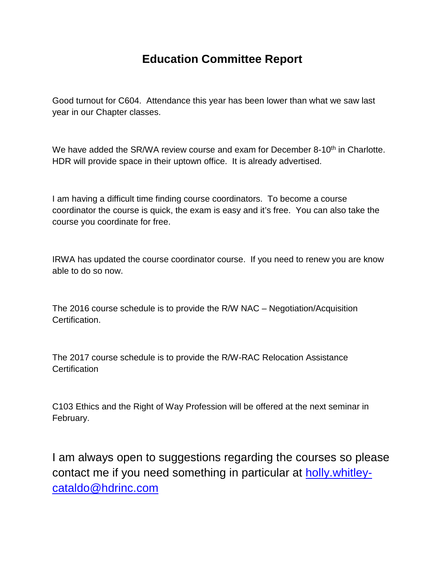### **Education Committee Report**

Good turnout for C604. Attendance this year has been lower than what we saw last year in our Chapter classes.

We have added the SR/WA review course and exam for December 8-10<sup>th</sup> in Charlotte. HDR will provide space in their uptown office. It is already advertised.

I am having a difficult time finding course coordinators. To become a course coordinator the course is quick, the exam is easy and it's free. You can also take the course you coordinate for free.

IRWA has updated the course coordinator course. If you need to renew you are know able to do so now.

The 2016 course schedule is to provide the R/W NAC – Negotiation/Acquisition Certification.

The 2017 course schedule is to provide the R/W-RAC Relocation Assistance **Certification** 

C103 Ethics and the Right of Way Profession will be offered at the next seminar in February.

I am always open to suggestions regarding the courses so please contact me if you need something in particular at [holly.whitley](mailto:holly.whitley-cataldo@hdrinc.com)[cataldo@hdrinc.com](mailto:holly.whitley-cataldo@hdrinc.com)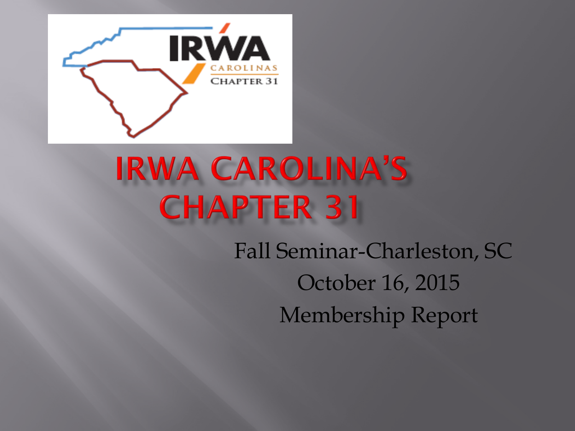

# **IRWA CAROLINA'S CHAPTER 31**

Fall Seminar-Charleston, SC October 16, 2015 Membership Report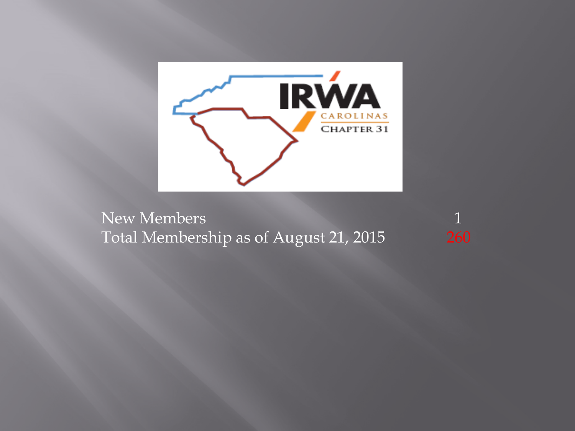

New Members 1 Total Membership as of August 21, 2015 260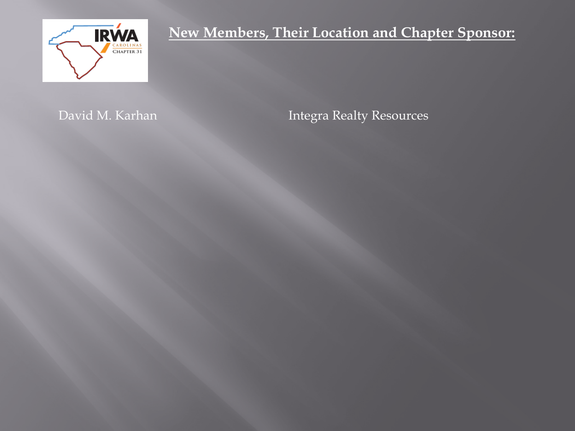

**New Members, Their Location and Chapter Sponsor:**

David M. Karhan **Integra Realty Resources**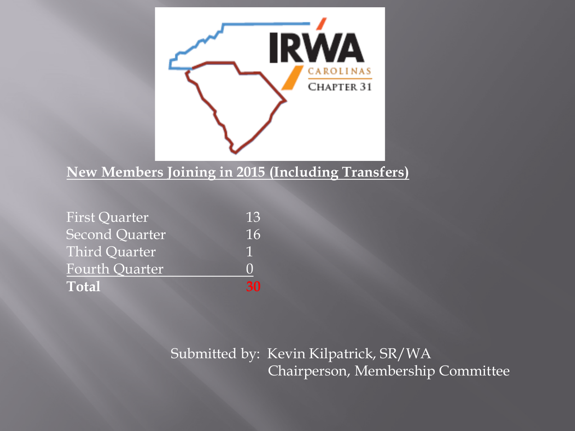

# **New Members Joining in 2015 (Including Transfers)**

| <b>First Quarter</b>  | 13 |
|-----------------------|----|
| Second Quarter        | 16 |
| <b>Third Quarter</b>  |    |
| <b>Fourth Quarter</b> |    |
| <b>Total</b>          | 21 |

# Submitted by: Kevin Kilpatrick, SR/WA Chairperson, Membership Committee